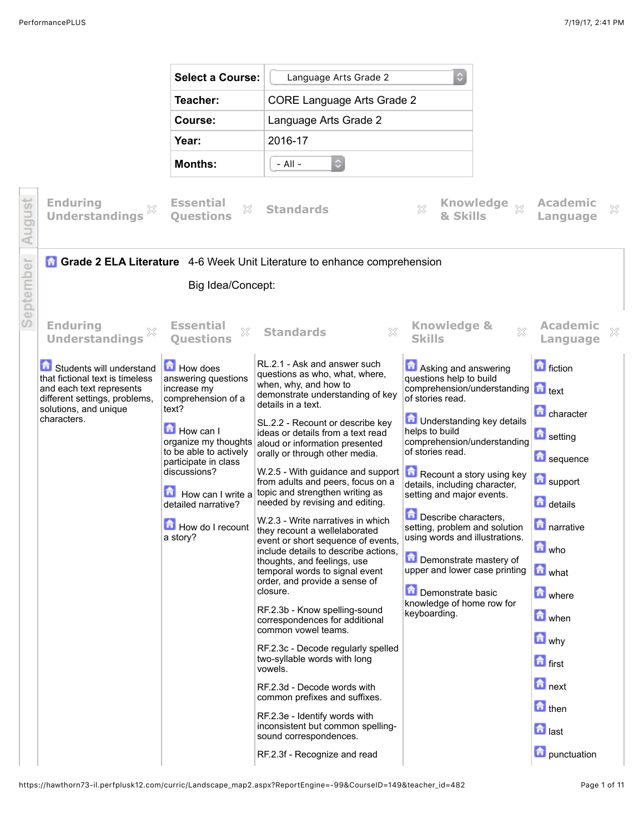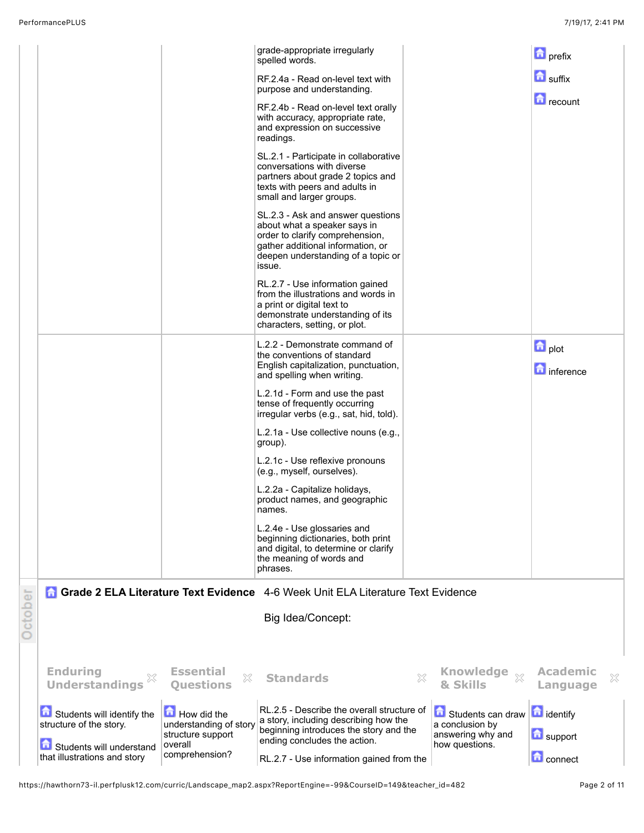| Students will understand<br>that illustrations and story | overall<br>comprehension?                                  | ending concludes the action.<br>RL.2.7 - Use information gained from the                                                                                                                  | how questions.                                                 | support<br><b>Connect</b>                 |
|----------------------------------------------------------|------------------------------------------------------------|-------------------------------------------------------------------------------------------------------------------------------------------------------------------------------------------|----------------------------------------------------------------|-------------------------------------------|
| Students will identify the<br>structure of the story.    | How did the<br>understanding of story<br>structure support | RL.2.5 - Describe the overall structure of<br>a story, including describing how the<br>beginning introduces the story and the                                                             | 卣<br>Students can draw<br>a conclusion by<br>answering why and | $\boxed{\blacksquare}$ identify           |
| <b>Enduring</b><br><b>Understandings</b>                 | <b>Essential</b><br>X<br><b>Questions</b>                  | <b>Standards</b>                                                                                                                                                                          | <b>Knowledge</b><br>$\chi$<br>X<br>& Skills                    | Academic<br>X<br>Language                 |
|                                                          |                                                            | Big Idea/Concept:                                                                                                                                                                         |                                                                |                                           |
|                                                          |                                                            | <b>A Grade 2 ELA Literature Text Evidence</b> 4-6 Week Unit ELA Literature Text Evidence                                                                                                  |                                                                |                                           |
|                                                          |                                                            | L.2.4e - Use glossaries and<br>beginning dictionaries, both print<br>and digital, to determine or clarify<br>the meaning of words and<br>phrases.                                         |                                                                |                                           |
|                                                          |                                                            | L.2.2a - Capitalize holidays,<br>product names, and geographic<br>names.                                                                                                                  |                                                                |                                           |
|                                                          |                                                            | group).<br>L.2.1c - Use reflexive pronouns<br>(e.g., myself, ourselves).                                                                                                                  |                                                                |                                           |
|                                                          |                                                            | irregular verbs (e.g., sat, hid, told).<br>L.2.1a - Use collective nouns (e.g.,                                                                                                           |                                                                |                                           |
|                                                          |                                                            | and spelling when writing.<br>L.2.1d - Form and use the past<br>tense of frequently occurring                                                                                             |                                                                |                                           |
|                                                          |                                                            | L.2.2 - Demonstrate command of<br>the conventions of standard<br>English capitalization, punctuation,                                                                                     |                                                                | $\blacksquare$ plot<br><b>n</b> inference |
|                                                          |                                                            | RL.2.7 - Use information gained<br>from the illustrations and words in<br>a print or digital text to<br>demonstrate understanding of its<br>characters, setting, or plot.                 |                                                                |                                           |
|                                                          |                                                            | SL.2.3 - Ask and answer questions<br>about what a speaker says in<br>order to clarify comprehension,<br>gather additional information, or<br>deepen understanding of a topic or<br>issue. |                                                                |                                           |
|                                                          |                                                            | SL.2.1 - Participate in collaborative<br>conversations with diverse<br>partners about grade 2 topics and<br>texts with peers and adults in<br>small and larger groups.                    |                                                                |                                           |
|                                                          |                                                            | RF.2.4b - Read on-level text orally<br>with accuracy, appropriate rate,<br>and expression on successive<br>readings.                                                                      |                                                                | <b>n</b> recount                          |
|                                                          |                                                            | RF.2.4a - Read on-level text with<br>purpose and understanding.                                                                                                                           |                                                                | <b>n</b> suffix                           |
|                                                          |                                                            | grade-appropriate irregularly<br>spelled words.                                                                                                                                           |                                                                | <b>D</b> prefix                           |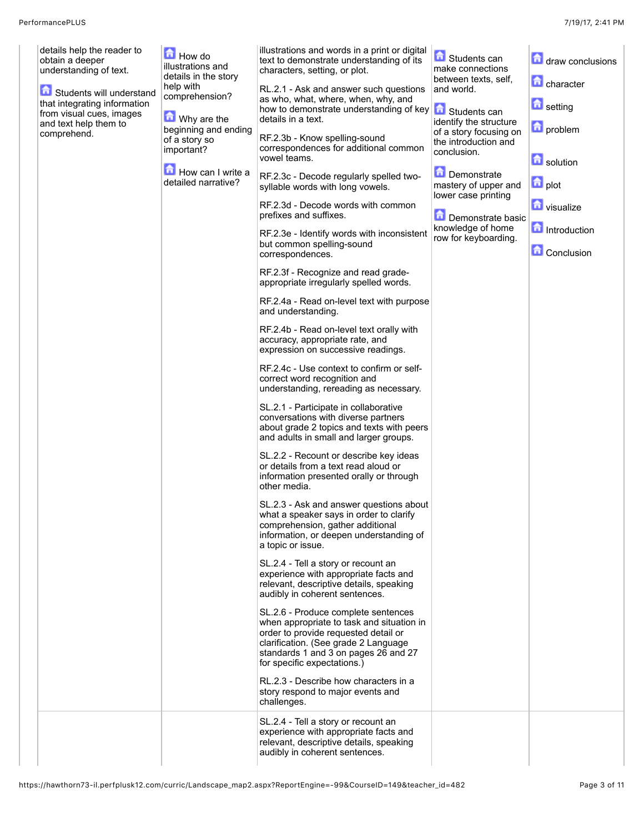| for specific expectations.)<br>RL.2.3 - Describe how characters in a<br>story respond to major events and<br>challenges.<br>SL.2.4 - Tell a story or recount an<br>experience with appropriate facts and |
|----------------------------------------------------------------------------------------------------------------------------------------------------------------------------------------------------------|
|----------------------------------------------------------------------------------------------------------------------------------------------------------------------------------------------------------|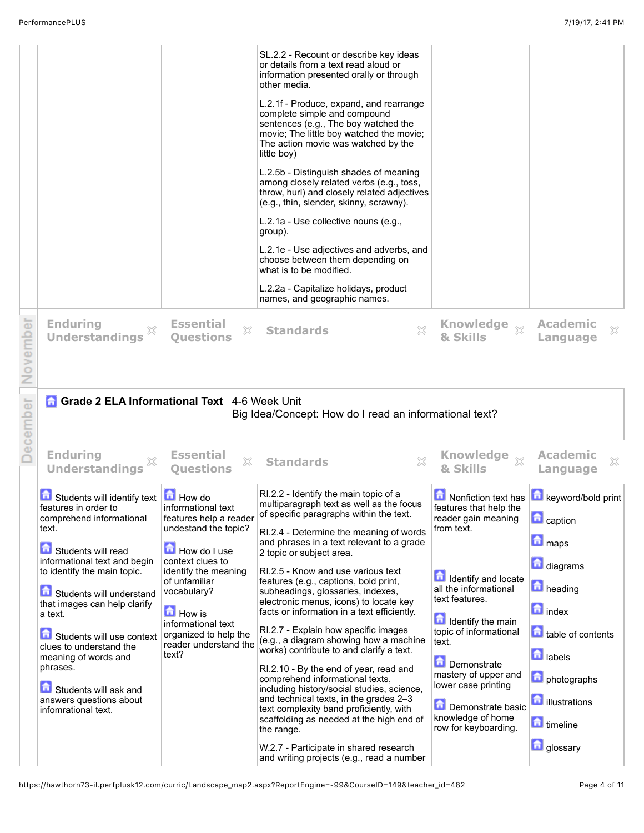|          |                                                                                                                                                                                                                                                                                                                                                                                                                                      |                                                                                                                                                                                                                                                                      |                                                                                                                                                                                                                                                                                                                                                                                                                                                                                                                                                                                                                                                                                                                                                                                                                                                                                                                 |                                                                                                                                                                                                                                                                                                                                                        | 1/10/11/12.7711101                                                                                                                                                                                                                          |
|----------|--------------------------------------------------------------------------------------------------------------------------------------------------------------------------------------------------------------------------------------------------------------------------------------------------------------------------------------------------------------------------------------------------------------------------------------|----------------------------------------------------------------------------------------------------------------------------------------------------------------------------------------------------------------------------------------------------------------------|-----------------------------------------------------------------------------------------------------------------------------------------------------------------------------------------------------------------------------------------------------------------------------------------------------------------------------------------------------------------------------------------------------------------------------------------------------------------------------------------------------------------------------------------------------------------------------------------------------------------------------------------------------------------------------------------------------------------------------------------------------------------------------------------------------------------------------------------------------------------------------------------------------------------|--------------------------------------------------------------------------------------------------------------------------------------------------------------------------------------------------------------------------------------------------------------------------------------------------------------------------------------------------------|---------------------------------------------------------------------------------------------------------------------------------------------------------------------------------------------------------------------------------------------|
|          |                                                                                                                                                                                                                                                                                                                                                                                                                                      |                                                                                                                                                                                                                                                                      | SL.2.2 - Recount or describe key ideas<br>or details from a text read aloud or<br>information presented orally or through<br>other media.<br>L.2.1f - Produce, expand, and rearrange<br>complete simple and compound<br>sentences (e.g., The boy watched the<br>movie; The little boy watched the movie;<br>The action movie was watched by the<br>little boy)<br>L.2.5b - Distinguish shades of meaning<br>among closely related verbs (e.g., toss,<br>throw, hurl) and closely related adjectives<br>(e.g., thin, slender, skinny, scrawny).<br>L.2.1a - Use collective nouns (e.g.,<br>group).<br>L.2.1e - Use adjectives and adverbs, and<br>choose between them depending on<br>what is to be modified.<br>L.2.2a - Capitalize holidays, product<br>names, and geographic names.                                                                                                                           |                                                                                                                                                                                                                                                                                                                                                        |                                                                                                                                                                                                                                             |
| November | <b>Enduring</b><br><b>Understandings</b>                                                                                                                                                                                                                                                                                                                                                                                             | <b>Essential</b><br>X<br><b>Questions</b>                                                                                                                                                                                                                            | <b>Standards</b>                                                                                                                                                                                                                                                                                                                                                                                                                                                                                                                                                                                                                                                                                                                                                                                                                                                                                                | <b>Knowledge</b><br>& Skills                                                                                                                                                                                                                                                                                                                           | <b>Academic</b><br>×<br>Language                                                                                                                                                                                                            |
| December | <b>Grade 2 ELA Informational Text</b> 4-6 Week Unit<br><b>Enduring</b><br><b>Understandings</b>                                                                                                                                                                                                                                                                                                                                      | <b>Essential</b><br>X<br><b>Ouestions</b>                                                                                                                                                                                                                            | Big Idea/Concept: How do I read an informational text?<br><b>Standards</b>                                                                                                                                                                                                                                                                                                                                                                                                                                                                                                                                                                                                                                                                                                                                                                                                                                      | Knowledge xx<br>& Skills                                                                                                                                                                                                                                                                                                                               | <b>Academic</b><br>×<br>Language                                                                                                                                                                                                            |
|          | Students will identify text   How do<br>features in order to<br>comprehend informational<br>text.<br>Students will read<br>informational text and begin<br>to identify the main topic.<br>Students will understand<br>that images can help clarify<br>a text.<br>Students will use context<br>clues to understand the<br>meaning of words and<br>phrases.<br>Students will ask and<br>answers questions about<br>infomrational text. | informational text<br>features help a reader<br>undestand the topic?<br>How do I use<br>context clues to<br>identify the meaning<br>of unfamiliar<br>vocabulary?<br><b>D</b> How is<br>informational text<br>organized to help the<br>reader understand the<br>text? | RI.2.2 - Identify the main topic of a<br>multiparagraph text as well as the focus<br>of specific paragraphs within the text.<br>RI.2.4 - Determine the meaning of words<br>and phrases in a text relevant to a grade<br>2 topic or subject area.<br>RI.2.5 - Know and use various text<br>features (e.g., captions, bold print,<br>subheadings, glossaries, indexes,<br>electronic menus, icons) to locate key<br>facts or information in a text efficiently.<br>RI.2.7 - Explain how specific images<br>(e.g., a diagram showing how a machine<br>works) contribute to and clarify a text.<br>RI.2.10 - By the end of year, read and<br>comprehend informational texts,<br>including history/social studies, science,<br>and technical texts, in the grades 2-3<br>text complexity band proficiently, with<br>scaffolding as needed at the high end of<br>the range.<br>W.2.7 - Participate in shared research | Nonfiction text has<br>features that help the<br>reader gain meaning<br>from text.<br><b>In Identify and locate</b><br>all the informational<br>text features.<br>Identify the main<br>topic of informational<br>text.<br>Demonstrate<br>mastery of upper and<br>lower case printing<br>Demonstrate basic<br>knowledge of home<br>row for keyboarding. | <b>A</b> keyword/bold print<br><b>n</b> caption<br>$\Box$ maps<br>diagrams<br><b>n</b> heading<br>$\blacksquare$ index<br>table of contents<br><b>D</b> labels<br><b>h</b> photographs<br><b>in</b> illustrations<br>timeline<br>d glossary |

W.2.7 - Participate in shared research and writing projects (e.g., read a number

https://hawthorn73-il.perfplusk12.com/curric/Landscape\_map2.aspx?ReportEngine=-99&CourseID=149&teacher\_id=482 Page 4 of 11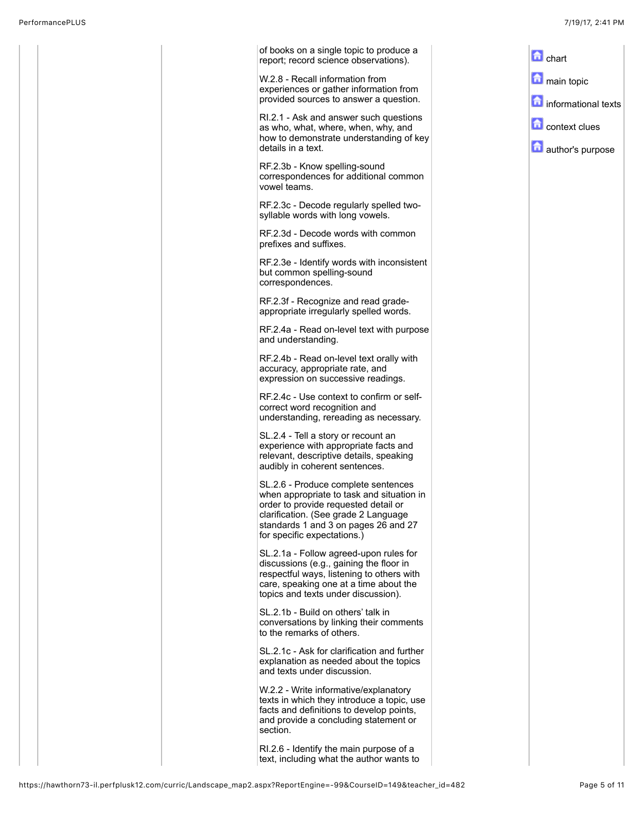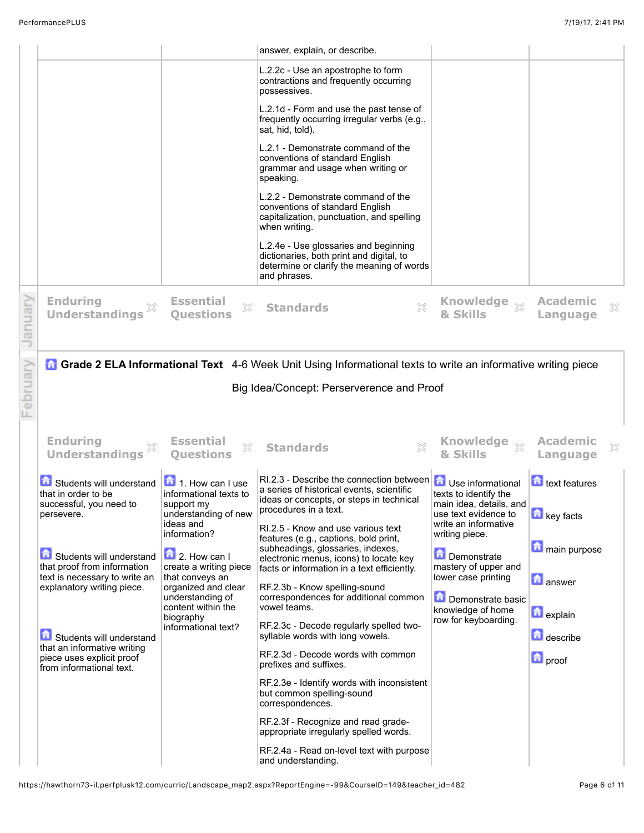|       |                                                                                      |                                                            | answer, explain, or describe.                                                                                                                                       |                                                                |                             |   |
|-------|--------------------------------------------------------------------------------------|------------------------------------------------------------|---------------------------------------------------------------------------------------------------------------------------------------------------------------------|----------------------------------------------------------------|-----------------------------|---|
|       |                                                                                      |                                                            | L.2.2c - Use an apostrophe to form<br>contractions and frequently occurring<br>possessives.                                                                         |                                                                |                             |   |
|       |                                                                                      |                                                            | L.2.1d - Form and use the past tense of<br>frequently occurring irregular verbs (e.g.,<br>sat, hid, told).                                                          |                                                                |                             |   |
|       |                                                                                      |                                                            | L.2.1 - Demonstrate command of the<br>conventions of standard English<br>grammar and usage when writing or<br>speaking.                                             |                                                                |                             |   |
|       |                                                                                      |                                                            | L.2.2 - Demonstrate command of the<br>conventions of standard English<br>capitalization, punctuation, and spelling<br>when writing.                                 |                                                                |                             |   |
|       |                                                                                      |                                                            | L.2.4e - Use glossaries and beginning<br>dictionaries, both print and digital, to<br>determine or clarify the meaning of words<br>and phrases.                      |                                                                |                             |   |
| anuar | <b>Enduring</b><br><b>Understandings</b>                                             | <b>Essential</b><br>X<br><b>Questions</b>                  | X<br><b>Standards</b>                                                                                                                                               | Knowledge xx<br><b>&amp; Skills</b>                            | <b>Academic</b><br>Language | × |
|       |                                                                                      |                                                            | <b>A Grade 2 ELA Informational Text</b> 4-6 Week Unit Using Informational texts to write an informative writing piece                                               |                                                                |                             |   |
| Nien  |                                                                                      |                                                            |                                                                                                                                                                     |                                                                |                             |   |
|       |                                                                                      |                                                            | Big Idea/Concept: Perserverence and Proof                                                                                                                           |                                                                |                             |   |
|       |                                                                                      |                                                            |                                                                                                                                                                     |                                                                |                             |   |
|       | <b>Enduring</b><br><b>Understandings</b>                                             | <b>Essential</b><br>X<br><b>Questions</b>                  | X<br><b>Standards</b>                                                                                                                                               | & Skills                                                       | <b>Academic</b><br>Language | × |
|       | Students will understand<br>that in order to be<br>successful, you need to           | 1. How can I use<br>informational texts to<br>support my   | RI.2.3 - Describe the connection between   buse informational<br>a series of historical events, scientific<br>ideas or concepts, or steps in technical              | texts to identify the<br>main idea, details, and               | text features               |   |
|       | persevere.                                                                           | understanding of new<br>ideas and<br>information?          | procedures in a text.<br>RI.2.5 - Know and use various text                                                                                                         | use text evidence to<br>write an informative<br>writing piece. | $\blacksquare$ key facts    |   |
|       | Students will understand<br>that proof from information                              | $\frac{1}{2}$ 2. How can I<br>create a writing piece       | features (e.g., captions, bold print,<br>subheadings, glossaries, indexes,<br>electronic menus, icons) to locate key<br>facts or information in a text efficiently. | Demonstrate<br>mastery of upper and                            | main purpose                |   |
|       | text is necessary to write an<br>explanatory writing piece.                          | that conveys an<br>organized and clear<br>understanding of | RF.2.3b - Know spelling-sound<br>correspondences for additional common                                                                                              | lower case printing<br>Demonstrate basic                       | <b>n</b> answer             |   |
|       |                                                                                      | content within the<br>biography                            | vowel teams.                                                                                                                                                        | knowledge of home<br>row for keyboarding.                      | <b>D</b> explain            |   |
|       |                                                                                      | informational text?                                        | RF.2.3c - Decode regularly spelled two-<br>syllable words with long vowels.                                                                                         |                                                                | describe                    |   |
|       | Students will understand                                                             |                                                            |                                                                                                                                                                     |                                                                |                             |   |
|       | that an informative writing<br>piece uses explicit proof<br>from informational text. |                                                            | RF.2.3d - Decode words with common<br>prefixes and suffixes.                                                                                                        |                                                                | <b>n</b> proof              |   |
|       |                                                                                      |                                                            | RF.2.3e - Identify words with inconsistent<br>but common spelling-sound<br>correspondences.                                                                         |                                                                |                             |   |
|       |                                                                                      |                                                            | RF.2.3f - Recognize and read grade-<br>appropriate irregularly spelled words.                                                                                       |                                                                |                             |   |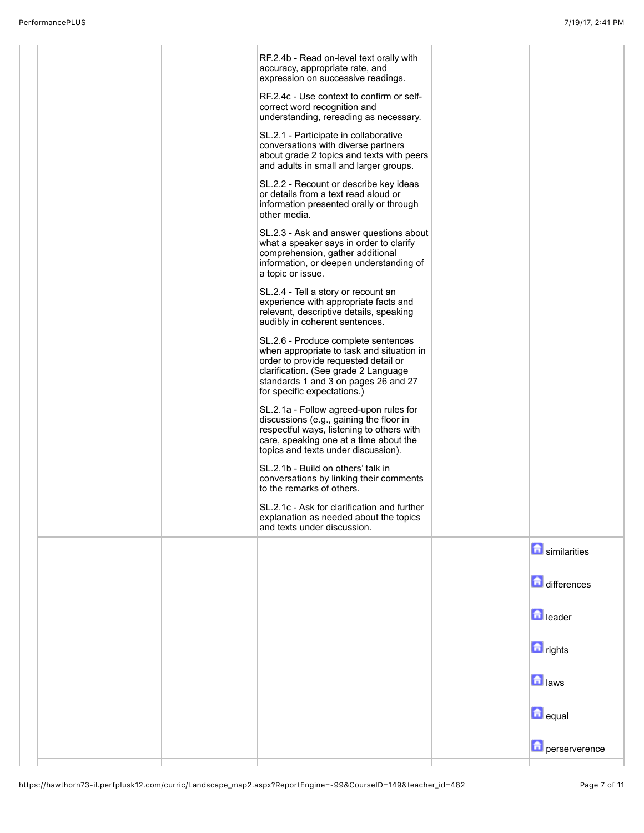|  | RF.2.4b - Read on-level text orally with<br>accuracy, appropriate rate, and<br>expression on successive readings.                                                                                                                       |                        |
|--|-----------------------------------------------------------------------------------------------------------------------------------------------------------------------------------------------------------------------------------------|------------------------|
|  | RF.2.4c - Use context to confirm or self-<br>correct word recognition and<br>understanding, rereading as necessary.                                                                                                                     |                        |
|  | SL.2.1 - Participate in collaborative<br>conversations with diverse partners<br>about grade 2 topics and texts with peers<br>and adults in small and larger groups.                                                                     |                        |
|  | SL.2.2 - Recount or describe key ideas<br>or details from a text read aloud or<br>information presented orally or through<br>other media.                                                                                               |                        |
|  | SL.2.3 - Ask and answer questions about<br>what a speaker says in order to clarify<br>comprehension, gather additional<br>information, or deepen understanding of<br>a topic or issue.                                                  |                        |
|  | SL.2.4 - Tell a story or recount an<br>experience with appropriate facts and<br>relevant, descriptive details, speaking<br>audibly in coherent sentences.                                                                               |                        |
|  | SL.2.6 - Produce complete sentences<br>when appropriate to task and situation in<br>order to provide requested detail or<br>clarification. (See grade 2 Language<br>standards 1 and 3 on pages 26 and 27<br>for specific expectations.) |                        |
|  | SL.2.1a - Follow agreed-upon rules for<br>discussions (e.g., gaining the floor in<br>respectful ways, listening to others with<br>care, speaking one at a time about the<br>topics and texts under discussion).                         |                        |
|  | SL.2.1b - Build on others' talk in<br>conversations by linking their comments<br>to the remarks of others.                                                                                                                              |                        |
|  | SL.2.1c - Ask for clarification and further<br>explanation as needed about the topics<br>and texts under discussion.                                                                                                                    |                        |
|  |                                                                                                                                                                                                                                         | <b>n</b> similarities  |
|  |                                                                                                                                                                                                                                         | differences            |
|  |                                                                                                                                                                                                                                         | <b>n</b> leader        |
|  |                                                                                                                                                                                                                                         | <b>n</b> rights        |
|  |                                                                                                                                                                                                                                         | <b>n</b> laws          |
|  |                                                                                                                                                                                                                                         | $\Box$ equal           |
|  |                                                                                                                                                                                                                                         | <b>n</b> perserverence |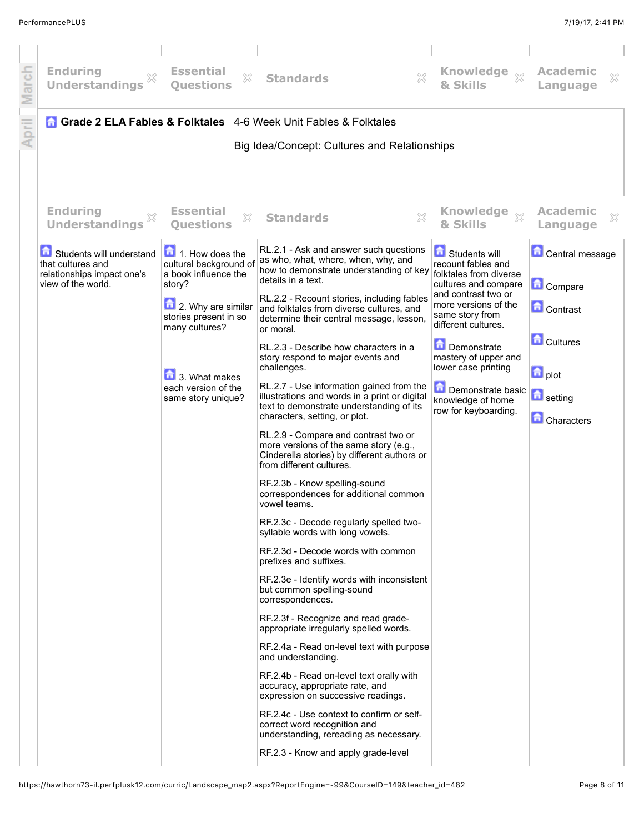| March        | <b>Enduring</b><br>X<br><b>Understandings</b>                               | <b>Essential</b><br>X<br><b>Ouestions</b>                                               | $\chi$<br><b>Standards</b>                                                                                                                                | Knowledge xx<br>& Skills                                       | <b>Academic</b><br>X<br>Language      |
|--------------|-----------------------------------------------------------------------------|-----------------------------------------------------------------------------------------|-----------------------------------------------------------------------------------------------------------------------------------------------------------|----------------------------------------------------------------|---------------------------------------|
|              |                                                                             |                                                                                         | <b>Constants 2 ELA Fables &amp; Folktales</b> 4-6 Week Unit Fables & Folktales                                                                            |                                                                |                                       |
| <b>April</b> |                                                                             |                                                                                         | Big Idea/Concept: Cultures and Relationships                                                                                                              |                                                                |                                       |
|              |                                                                             |                                                                                         |                                                                                                                                                           |                                                                |                                       |
|              |                                                                             |                                                                                         |                                                                                                                                                           |                                                                |                                       |
|              | <b>Enduring</b><br>X<br><b>Understandings</b>                               | <b>Essential</b><br>X<br><b>Ouestions</b>                                               | X<br><b>Standards</b>                                                                                                                                     | Knowledge xx<br>& Skills                                       | <b>Academic</b><br>×<br>Language      |
|              | Students will understand<br>that cultures and<br>relationships impact one's | $\boxed{\phantom{1}}$ 1. How does the<br>cultural background of<br>a book influence the | RL.2.1 - Ask and answer such questions<br>as who, what, where, when, why, and<br>how to demonstrate understanding of key                                  | Students will<br>recount fables and<br>folktales from diverse  | Central message                       |
|              | view of the world.                                                          | story?                                                                                  | details in a text.                                                                                                                                        | cultures and compare<br>and contrast two or                    | Compare                               |
|              |                                                                             | $\boxed{\phantom{a}}$ 2. Why are similar<br>stories present in so<br>many cultures?     | RL.2.2 - Recount stories, including fables<br>and folktales from diverse cultures, and<br>determine their central message, lesson,<br>or moral.           | more versions of the<br>same story from<br>different cultures. | <b>Contrast</b>                       |
|              |                                                                             |                                                                                         | RL.2.3 - Describe how characters in a<br>story respond to major events and<br>challenges.                                                                 | Demonstrate<br>mastery of upper and<br>lower case printing     | <b>C</b> ultures                      |
|              |                                                                             | 3. What makes<br>each version of the                                                    | RL.2.7 - Use information gained from the                                                                                                                  | Demonstrate basic                                              | $\blacksquare$ plot                   |
|              |                                                                             | same story unique?                                                                      | illustrations and words in a print or digital<br>text to demonstrate understanding of its<br>characters, setting, or plot.                                | knowledge of home<br>row for keyboarding.                      | <b>n</b> setting<br><b>Characters</b> |
|              |                                                                             |                                                                                         | RL.2.9 - Compare and contrast two or<br>more versions of the same story (e.g.,<br>Cinderella stories) by different authors or<br>from different cultures. |                                                                |                                       |
|              |                                                                             |                                                                                         | RF.2.3b - Know spelling-sound<br>correspondences for additional common<br>vowel teams.                                                                    |                                                                |                                       |
|              |                                                                             |                                                                                         | RF.2.3c - Decode regularly spelled two-<br>syllable words with long vowels.                                                                               |                                                                |                                       |
|              |                                                                             |                                                                                         | RF.2.3d - Decode words with common<br>prefixes and suffixes.                                                                                              |                                                                |                                       |
|              |                                                                             |                                                                                         | RF.2.3e - Identify words with inconsistent<br>but common spelling-sound<br>correspondences.                                                               |                                                                |                                       |
|              |                                                                             |                                                                                         | RF.2.3f - Recognize and read grade-<br>appropriate irregularly spelled words.                                                                             |                                                                |                                       |
|              |                                                                             |                                                                                         | RF.2.4a - Read on-level text with purpose<br>and understanding.                                                                                           |                                                                |                                       |
|              |                                                                             |                                                                                         | RF.2.4b - Read on-level text orally with<br>accuracy, appropriate rate, and<br>expression on successive readings.                                         |                                                                |                                       |
|              |                                                                             |                                                                                         | RF.2.4c - Use context to confirm or self-<br>correct word recognition and<br>understanding, rereading as necessary.                                       |                                                                |                                       |
|              |                                                                             |                                                                                         | RF.2.3 - Know and apply grade-level                                                                                                                       |                                                                |                                       |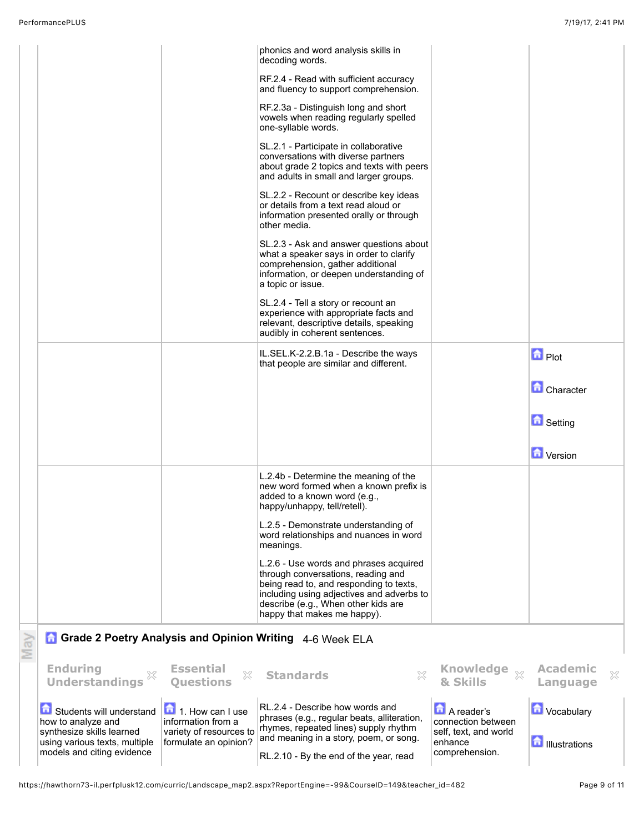| Students will understand<br>how to analyze and<br>synthesize skills learned<br>using various texts, multiple<br>models and citing evidence | 1. How can I use<br>information from a<br>variety of resources to<br>formulate an opinion? | RL.2.4 - Describe how words and<br>phrases (e.g., regular beats, alliteration,<br>rhymes, repeated lines) supply rhythm<br>and meaning in a story, poem, or song.<br>RL.2.10 - By the end of the year, read                                | A reader's<br>connection between<br>self, text, and world<br>enhance<br>comprehension. | Vocabulary<br><b>D</b> Illustrations |
|--------------------------------------------------------------------------------------------------------------------------------------------|--------------------------------------------------------------------------------------------|--------------------------------------------------------------------------------------------------------------------------------------------------------------------------------------------------------------------------------------------|----------------------------------------------------------------------------------------|--------------------------------------|
| <b>Enduring</b><br><b>Understandings</b>                                                                                                   | <b>Essential</b><br>X<br><b>Ouestions</b>                                                  | <b>Standards</b>                                                                                                                                                                                                                           | Knowledge xx<br>& Skills                                                               | <b>Academic</b><br>X<br>Language     |
|                                                                                                                                            |                                                                                            | Grade 2 Poetry Analysis and Opinion Writing 4-6 Week ELA                                                                                                                                                                                   |                                                                                        |                                      |
|                                                                                                                                            |                                                                                            | L.2.6 - Use words and phrases acquired<br>through conversations, reading and<br>being read to, and responding to texts,<br>including using adjectives and adverbs to<br>describe (e.g., When other kids are<br>happy that makes me happy). |                                                                                        |                                      |
|                                                                                                                                            |                                                                                            | L.2.5 - Demonstrate understanding of<br>word relationships and nuances in word<br>meanings.                                                                                                                                                |                                                                                        |                                      |
|                                                                                                                                            |                                                                                            | L.2.4b - Determine the meaning of the<br>new word formed when a known prefix is<br>added to a known word (e.g.,<br>happy/unhappy, tell/retell).                                                                                            |                                                                                        |                                      |
|                                                                                                                                            |                                                                                            |                                                                                                                                                                                                                                            |                                                                                        | <b>D</b> Version                     |
|                                                                                                                                            |                                                                                            |                                                                                                                                                                                                                                            |                                                                                        | <b>G</b> Setting                     |
|                                                                                                                                            |                                                                                            | that people are similar and different.                                                                                                                                                                                                     |                                                                                        | <b>Character</b>                     |
|                                                                                                                                            |                                                                                            | audibly in coherent sentences.<br>IL.SEL.K-2.2.B.1a - Describe the ways                                                                                                                                                                    |                                                                                        | $\blacksquare$ Plot                  |
|                                                                                                                                            |                                                                                            | SL.2.4 - Tell a story or recount an<br>experience with appropriate facts and<br>relevant, descriptive details, speaking                                                                                                                    |                                                                                        |                                      |
|                                                                                                                                            |                                                                                            | SL.2.3 - Ask and answer questions about<br>what a speaker says in order to clarify<br>comprehension, gather additional<br>information, or deepen understanding of<br>a topic or issue.                                                     |                                                                                        |                                      |
|                                                                                                                                            |                                                                                            | SL.2.2 - Recount or describe key ideas<br>or details from a text read aloud or<br>information presented orally or through<br>other media.                                                                                                  |                                                                                        |                                      |
|                                                                                                                                            |                                                                                            | SL.2.1 - Participate in collaborative<br>conversations with diverse partners<br>about grade 2 topics and texts with peers<br>and adults in small and larger groups.                                                                        |                                                                                        |                                      |
|                                                                                                                                            |                                                                                            | RF.2.3a - Distinguish long and short<br>vowels when reading regularly spelled<br>one-syllable words.                                                                                                                                       |                                                                                        |                                      |
|                                                                                                                                            |                                                                                            | decoding words.<br>RF.2.4 - Read with sufficient accuracy<br>and fluency to support comprehension.                                                                                                                                         |                                                                                        |                                      |
|                                                                                                                                            |                                                                                            | phonics and word analysis skills in                                                                                                                                                                                                        |                                                                                        |                                      |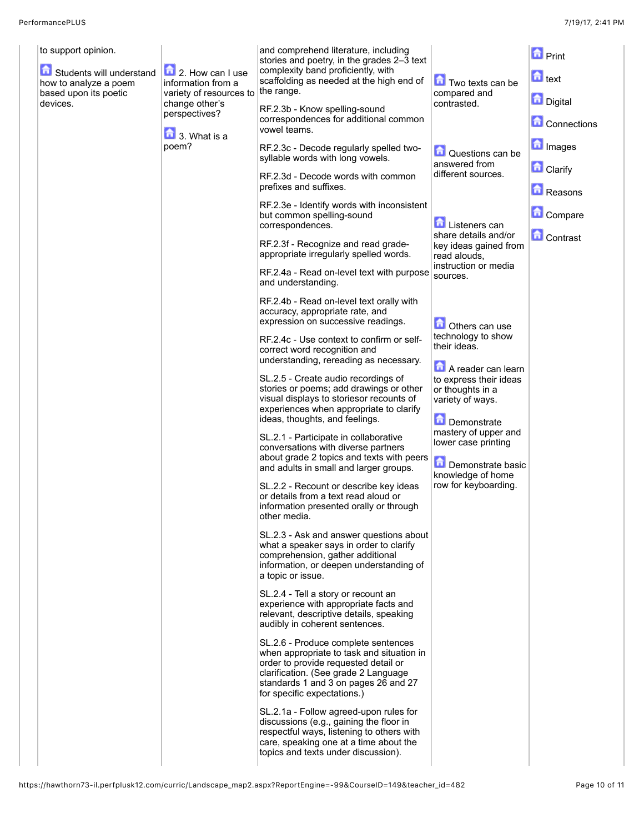| $\blacksquare$ 3. What is a | poem? | vowel teams.<br>RF.2.3c - Decode regularly spelled two-<br>syllable words with long vowels.<br>RF.2.3d - Decode words with common<br>prefixes and suffixes.<br>RF.2.3e - Identify words with inconsistent                                                                                                                                                                                                                                                                                                                                                                                                                                                                                                                                                                                                                                                                                                                                                                                                                                                                                                                                                                                                                                                                                                                                                                                                                                                                                                   | Questions can be<br>answered from<br>different sources.                                                                                                                                                                                                                               | <b>Digital</b><br><b>Connections</b><br><b>n</b> Images<br><b>Clarify</b><br>Reasons |
|-----------------------------|-------|-------------------------------------------------------------------------------------------------------------------------------------------------------------------------------------------------------------------------------------------------------------------------------------------------------------------------------------------------------------------------------------------------------------------------------------------------------------------------------------------------------------------------------------------------------------------------------------------------------------------------------------------------------------------------------------------------------------------------------------------------------------------------------------------------------------------------------------------------------------------------------------------------------------------------------------------------------------------------------------------------------------------------------------------------------------------------------------------------------------------------------------------------------------------------------------------------------------------------------------------------------------------------------------------------------------------------------------------------------------------------------------------------------------------------------------------------------------------------------------------------------------|---------------------------------------------------------------------------------------------------------------------------------------------------------------------------------------------------------------------------------------------------------------------------------------|--------------------------------------------------------------------------------------|
|                             |       | but common spelling-sound<br>correspondences.<br>RF.2.3f - Recognize and read grade-<br>appropriate irregularly spelled words.<br>RF.2.4a - Read on-level text with purpose<br>and understanding.                                                                                                                                                                                                                                                                                                                                                                                                                                                                                                                                                                                                                                                                                                                                                                                                                                                                                                                                                                                                                                                                                                                                                                                                                                                                                                           | <b>Listeners can</b><br>share details and/or<br>key ideas gained from<br>read alouds,<br>instruction or media<br>sources.                                                                                                                                                             | Compare<br><b>Contrast</b>                                                           |
|                             |       | RF.2.4b - Read on-level text orally with<br>accuracy, appropriate rate, and<br>expression on successive readings.<br>RF.2.4c - Use context to confirm or self-<br>correct word recognition and<br>understanding, rereading as necessary.<br>SL.2.5 - Create audio recordings of<br>stories or poems; add drawings or other<br>visual displays to storiesor recounts of<br>experiences when appropriate to clarify<br>ideas, thoughts, and feelings.<br>SL.2.1 - Participate in collaborative<br>conversations with diverse partners<br>about grade 2 topics and texts with peers<br>and adults in small and larger groups.<br>SL.2.2 - Recount or describe key ideas<br>or details from a text read aloud or<br>information presented orally or through<br>other media.<br>SL.2.3 - Ask and answer questions about<br>what a speaker says in order to clarify<br>comprehension, gather additional<br>information, or deepen understanding of<br>a topic or issue.<br>SL.2.4 - Tell a story or recount an<br>experience with appropriate facts and<br>relevant, descriptive details, speaking<br>audibly in coherent sentences.<br>SL.2.6 - Produce complete sentences<br>when appropriate to task and situation in<br>order to provide requested detail or<br>clarification. (See grade 2 Language<br>standards 1 and 3 on pages 26 and 27<br>for specific expectations.)<br>SL.2.1a - Follow agreed-upon rules for<br>discussions (e.g., gaining the floor in<br>respectful ways, listening to others with | <b>D</b> Others can use<br>technology to show<br>their ideas.<br>A reader can learn<br>to express their ideas<br>or thoughts in a<br>variety of ways.<br>Demonstrate<br>mastery of upper and<br>lower case printing<br>Demonstrate basic<br>knowledge of home<br>row for keyboarding. |                                                                                      |